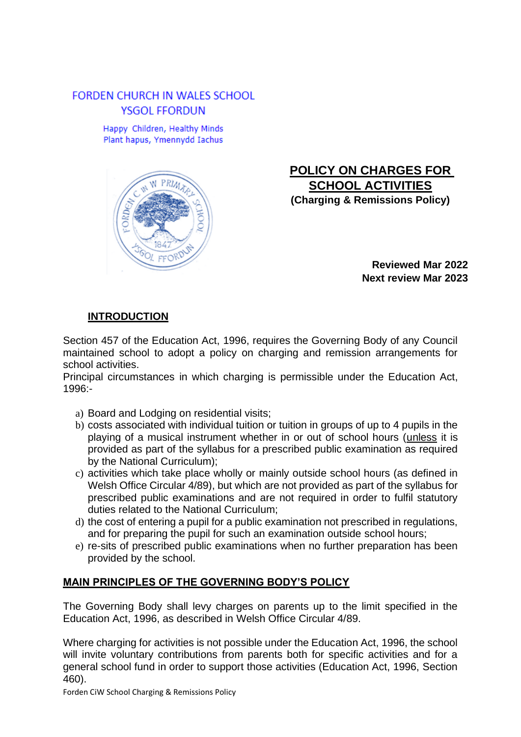## **FORDEN CHURCH IN WALES SCHOOL** YSGOL FFORDUN

Happy Children, Healthy Minds Plant hapus, Ymennydd Iachus



# **POLICY ON CHARGES FOR SCHOOL ACTIVITIES (Charging & Remissions Policy)**

**Reviewed Mar 2022 Next review Mar 2023**

## **INTRODUCTION**

Section 457 of the Education Act, 1996, requires the Governing Body of any Council maintained school to adopt a policy on charging and remission arrangements for school activities.

Principal circumstances in which charging is permissible under the Education Act, 1996:-

- a) Board and Lodging on residential visits;
- b) costs associated with individual tuition or tuition in groups of up to 4 pupils in the playing of a musical instrument whether in or out of school hours (unless it is provided as part of the syllabus for a prescribed public examination as required by the National Curriculum);
- c) activities which take place wholly or mainly outside school hours (as defined in Welsh Office Circular 4/89), but which are not provided as part of the syllabus for prescribed public examinations and are not required in order to fulfil statutory duties related to the National Curriculum;
- d) the cost of entering a pupil for a public examination not prescribed in regulations, and for preparing the pupil for such an examination outside school hours;
- e) re-sits of prescribed public examinations when no further preparation has been provided by the school.

## **MAIN PRINCIPLES OF THE GOVERNING BODY'S POLICY**

The Governing Body shall levy charges on parents up to the limit specified in the Education Act, 1996, as described in Welsh Office Circular 4/89.

Where charging for activities is not possible under the Education Act, 1996, the school will invite voluntary contributions from parents both for specific activities and for a general school fund in order to support those activities (Education Act, 1996, Section 460).